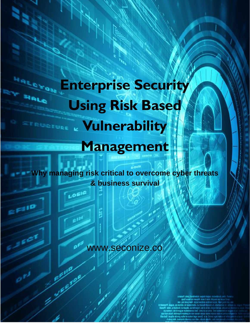# **Enterprise Security Using Risk Based Vulnerability Management**

**HALCYS** 

 $F110$ 

**Why managing risk critical to overcome cyber threats & business survival**

LOSIC

www.seconize.co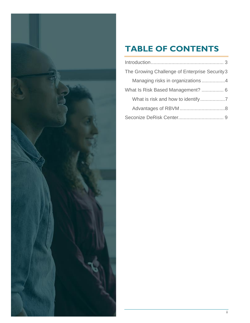

# **TABLE OF CONTENTS**

| The Growing Challenge of Enterprise Security 3 |
|------------------------------------------------|
| Managing risks in organizations 4              |
| What Is Risk Based Management?  6              |
|                                                |
|                                                |
|                                                |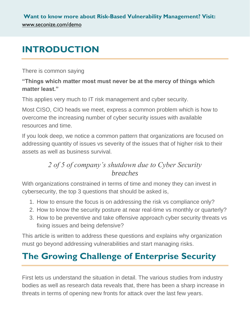# <span id="page-2-0"></span>**INTRODUCTION**

There is common saying

#### **"Things which matter most must never be at the mercy of things which matter least."**

This applies very much to IT risk management and cyber security.

Most CISO, CIO heads we meet, express a common problem which is how to overcome the increasing number of cyber security issues with available resources and time.

If you look deep, we notice a common pattern that organizations are focused on addressing quantity of issues vs severity of the issues that of higher risk to their assets as well as business survival.

## *2 of 5 of company's shutdown due to Cyber Security breaches*

With organizations constrained in terms of time and money they can invest in cybersecurity, the top 3 questions that should be asked is,

- 1. How to ensure the focus is on addressing the risk vs compliance only?
- 2. How to know the security posture at near real-time vs monthly or quarterly?
- 3. How to be preventive and take offensive approach cyber security threats vs fixing issues and being defensive?

This article is written to address these questions and explains why organization must go beyond addressing vulnerabilities and start managing risks.

# <span id="page-2-1"></span>**The Growing Challenge of Enterprise Security**

First lets us understand the situation in detail. The various studies from industry bodies as well as research data reveals that, there has been a sharp increase in threats in terms of opening new fronts for attack over the last few years.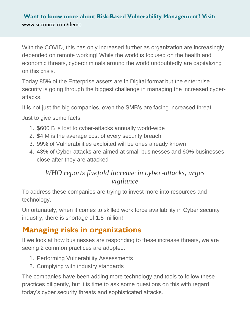With the COVID, this has only increased further as organization are increasingly depended on remote working! While the world is focused on the health and economic threats, cybercriminals around the world undoubtedly are capitalizing on this crisis.

Today 85% of the Enterprise assets are in Digital format but the enterprise security is going through the biggest challenge in managing the increased cyberattacks.

It is not just the big companies, even the SMB's are facing increased threat.

Just to give some facts,

- 1. \$600 B is lost to cyber-attacks annually world-wide
- 2. \$4 M is the average cost of every security breach
- 3. 99% of Vulnerabilities exploited will be ones already known
- 4. 43% of Cyber-attacks are aimed at small businesses and 60% businesses close after they are attacked

### *WHO reports fivefold increase in cyber-attacks, urges vigilance*

To address these companies are trying to invest more into resources and technology.

Unfortunately, when it comes to skilled work force availability in Cyber security industry, there is shortage of 1.5 million!

## <span id="page-3-0"></span>**Managing risks in organizations**

If we look at how businesses are responding to these increase threats, we are seeing 2 common practices are adopted.

- 1. Performing Vulnerability Assessments
- 2. Complying with industry standards

The companies have been adding more technology and tools to follow these practices diligently, but it is time to ask some questions on this with regard today's cyber security threats and sophisticated attacks.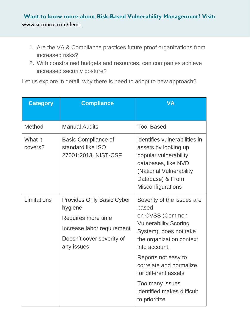- 1. Are the VA & Compliance practices future proof organizations from increased risks?
- 2. With constrained budgets and resources, can companies achieve increased security posture?

Let us explore in detail, why there is need to adopt to new approach?

| <b>Category</b>    | <b>Compliance</b>                                                                                                                          | <b>VA</b>                                                                                                                                                                                                                                                                                                 |
|--------------------|--------------------------------------------------------------------------------------------------------------------------------------------|-----------------------------------------------------------------------------------------------------------------------------------------------------------------------------------------------------------------------------------------------------------------------------------------------------------|
| Method             | <b>Manual Audits</b>                                                                                                                       | <b>Tool Based</b>                                                                                                                                                                                                                                                                                         |
| What it<br>covers? | <b>Basic Compliance of</b><br>standard like ISO<br>27001:2013, NIST-CSF                                                                    | identifies vulnerabilities in<br>assets by looking up<br>popular vulnerability<br>databases, like NVD<br>(National Vulnerability<br>Database) & From<br><b>Misconfigurations</b>                                                                                                                          |
| Limitations        | <b>Provides Only Basic Cyber</b><br>hygiene<br>Requires more time<br>Increase labor requirement<br>Doesn't cover severity of<br>any issues | Severity of the issues are<br>based<br>on CVSS (Common<br><b>Vulnerability Scoring</b><br>System), does not take<br>the organization context<br>into account.<br>Reports not easy to<br>correlate and normalize<br>for different assets<br>Too many issues<br>identified makes difficult<br>to prioritize |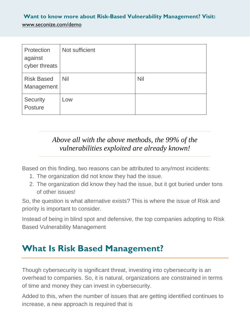| Protection<br>against<br>cyber threats | Not sufficient |            |
|----------------------------------------|----------------|------------|
| <b>Risk Based</b><br>Management        | <b>Nil</b>     | <b>Nil</b> |
| Security<br>Posture                    | Low            |            |

## *Above all with the above methods, the 99% of the vulnerabilities exploited are already known!*

Based on this finding, two reasons can be attributed to any/most incidents:

- 1. The organization did not know they had the issue.
- 2. The organization did know they had the issue, but it got buried under tons of other issues!

So, the question is what alternative exists? This is where the issue of Risk and priority is important to consider.

Instead of being in blind spot and defensive, the top companies adopting to Risk Based Vulnerability Management

# <span id="page-5-0"></span>**What Is Risk Based Management?**

Though cybersecurity is significant threat, investing into cybersecurity is an overhead to companies. So, it is natural, organizations are constrained in terms of time and money they can invest in cybersecurity.

Added to this, when the number of issues that are getting identified continues to increase, a new approach is required that is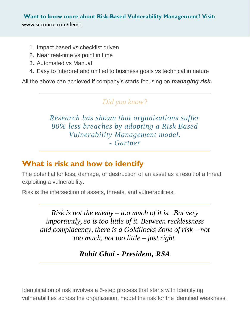- 1. Impact based vs checklist driven
- 2. Near real-time vs point in time
- 3. Automated vs Manual
- 4. Easy to interpret and unified to business goals vs technical in nature

All the above can achieved if company's starts focusing on *managing risk.*

## *Did you know?*

*Research has shown that organizations suffer 80% less breaches by adopting a Risk Based Vulnerability Management model. - Gartner*

## <span id="page-6-0"></span>**What is risk and how to identify**

The potential for loss, damage, or destruction of an asset as a result of a threat exploiting a vulnerability.

Risk is the intersection of assets, threats, and vulnerabilities.

*Risk is not the enemy – too much of it is. But very importantly, so is too little of it. Between recklessness and complacency, there is a Goldilocks Zone of risk – not too much, not too little – just right.*

*Rohit Ghai - President, RSA*

Identification of risk involves a 5-step process that starts with Identifying vulnerabilities across the organization, model the risk for the identified weakness,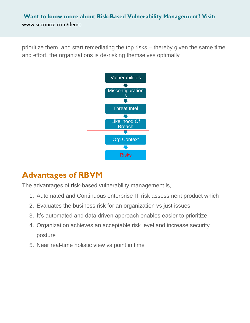prioritize them, and start remediating the top risks – thereby given the same time and effort, the organizations is de-risking themselves optimally



## <span id="page-7-0"></span>**Advantages of RBVM**

The advantages of risk-based vulnerability management is,

- 1. Automated and Continuous enterprise IT risk assessment product which
- 2. Evaluates the business risk for an organization vs just issues
- 3. It's automated and data driven approach enables easier to prioritize
- 4. Organization achieves an acceptable risk level and increase security posture
- 5. Near real-time holistic view vs point in time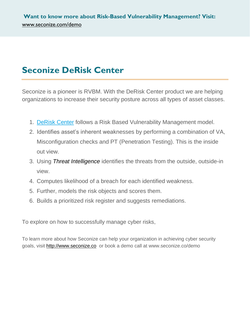# <span id="page-8-0"></span>**Seconize DeRisk Center**

Seconize is a pioneer is RVBM. With the DeRisk Center product we are helping organizations to increase their security posture across all types of asset classes.

- 1. [DeRisk Center](http://www.seconize.co/) follows a Risk Based Vulnerability Management model.
- 2. Identifies asset's inherent weaknesses by performing a combination of VA, Misconfiguration checks and PT (Penetration Testing). This is the inside out view.
- 3. Using *[Threat Intelligence](https://en.wikipedia.org/wiki/Cyber_threat_intelligence)* identifies the threats from the outside, outside-in view.
- 4. Computes likelihood of a breach for each identified weakness.
- 5. Further, models the risk objects and scores them.
- 6. Builds a prioritized risk register and suggests remediations.

To explore on how to successfully manage cyber risks,

To learn more about how Seconize can help your organization in achieving cyber security goals, visit [http://www.seconize.co](http://www.seconize.co/) or book a demo call at www.seconize.co/demo